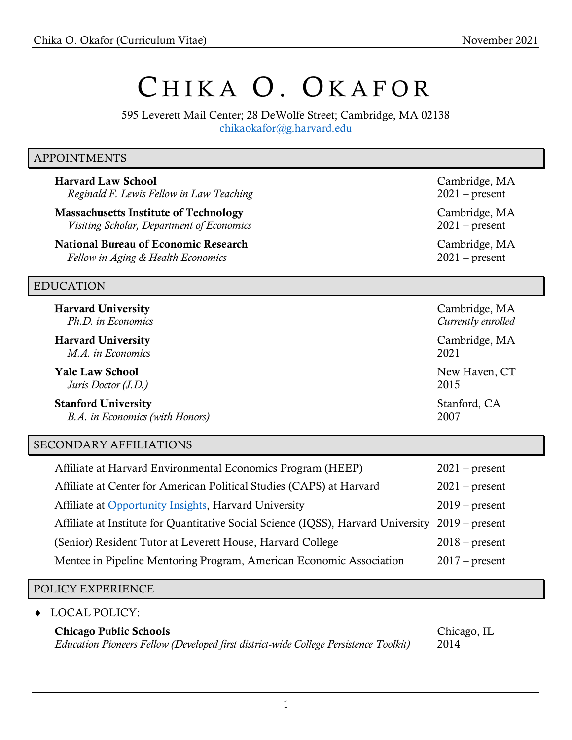# CHIKA O. OKAFOR

595 Leverett Mail Center; 28 DeWolfe Street; Cambridge, MA 02138 [chikaokafor@g.harvard.edu](mailto:chikaokafor@g.harvard.edu)

#### APPOINTMENTS

Harvard Law School Cambridge, MA *Reginald F. Lewis Fellow in Law Teaching* 2021 – present

Massachusetts Institute of Technology Cambridge, MA *Visiting Scholar, Department of Economics* 2021 – present

National Bureau of Economic Research Cambridge, MA *Fellow in Aging & Health Economics* 2021 – present

#### EDUCATION

| <b>Harvard University</b>       | Cambridge, MA      |
|---------------------------------|--------------------|
| Ph.D. in Economics              | Currently enrolled |
| <b>Harvard University</b>       | Cambridge, MA      |
| M.A. in Economics               | 2021               |
| <b>Yale Law School</b>          | New Haven, CT      |
| Juris Doctor (J.D.)             | 2015               |
| <b>Stanford University</b>      | Stanford, CA       |
| B.A. in Economics (with Honors) | 2007               |

#### SECONDARY AFFILIATIONS

| Affiliate at Harvard Environmental Economics Program (HEEP)                                      | $2021$ – present |
|--------------------------------------------------------------------------------------------------|------------------|
| Affiliate at Center for American Political Studies (CAPS) at Harvard                             | $2021$ – present |
| Affiliate at Opportunity Insights, Harvard University                                            | $2019$ – present |
| Affiliate at Institute for Quantitative Social Science (IQSS), Harvard University 2019 – present |                  |
| (Senior) Resident Tutor at Leverett House, Harvard College                                       | $2018$ – present |
| Mentee in Pipeline Mentoring Program, American Economic Association                              | $2017$ – present |
|                                                                                                  |                  |

#### POLICY EXPERIENCE

LOCAL POLICY:

#### Chicago Public Schools Chicago, IL

*Education Pioneers Fellow (Developed first district-wide College Persistence Toolkit)* 2014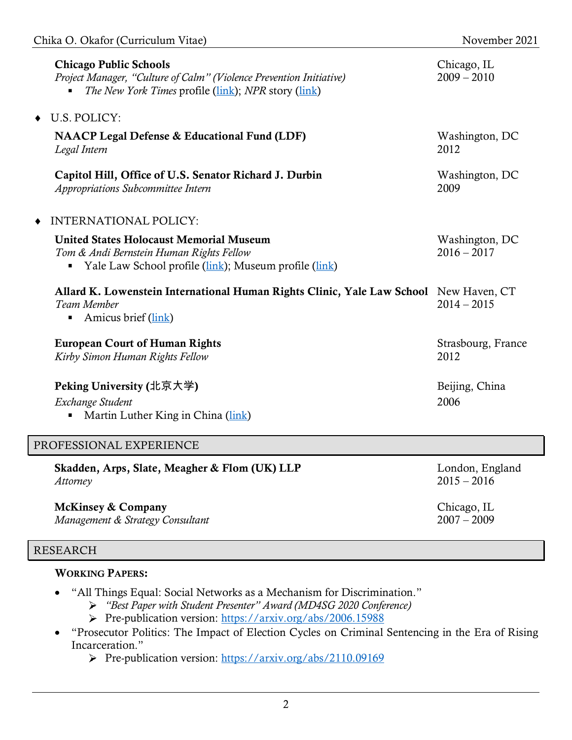| <b>Chicago Public Schools</b><br>Project Manager, "Culture of Calm" (Violence Prevention Initiative)<br><i>The New York Times profile (link); NPR story (link)</i> | Chicago, IL<br>$2009 - 2010$    |
|--------------------------------------------------------------------------------------------------------------------------------------------------------------------|---------------------------------|
| U.S. POLICY:<br>$\bullet$                                                                                                                                          |                                 |
| <b>NAACP Legal Defense &amp; Educational Fund (LDF)</b><br>Legal Intern                                                                                            | Washington, DC<br>2012          |
| Capitol Hill, Office of U.S. Senator Richard J. Durbin<br>Appropriations Subcommittee Intern                                                                       | Washington, DC<br>2009          |
| <b>INTERNATIONAL POLICY:</b>                                                                                                                                       |                                 |
| <b>United States Holocaust Memorial Museum</b><br>Tom & Andi Bernstein Human Rights Fellow<br>Yale Law School profile (link); Museum profile (link)                | Washington, DC<br>$2016 - 2017$ |
| Allard K. Lowenstein International Human Rights Clinic, Yale Law School New Haven, CT<br>Team Member<br>Amicus brief (link)<br>٠                                   | $2014 - 2015$                   |
| <b>European Court of Human Rights</b><br>Kirby Simon Human Rights Fellow                                                                                           | Strasbourg, France<br>2012      |
| Peking University (北京大学)<br>Exchange Student<br>Martin Luther King in China (link)                                                                                 | Beijing, China<br>2006          |
| PROFESSIONAL EXPERIENCE                                                                                                                                            |                                 |

| Skadden, Arps, Slate, Meagher & Flom (UK) LLP | London, England |
|-----------------------------------------------|-----------------|
| Attorney                                      | $2015 - 2016$   |
| <b>McKinsey &amp; Company</b>                 | Chicago, IL     |
| Management & Strategy Consultant              | $2007 - 2009$   |

## RESEARCH

## WORKING PAPERS:

- "All Things Equal: Social Networks as a Mechanism for Discrimination."
	- *"Best Paper with Student Presenter" Award (MD4SG 2020 Conference)*
	- Pre-publication version:<https://arxiv.org/abs/2006.15988>
- "Prosecutor Politics: The Impact of Election Cycles on Criminal Sentencing in the Era of Rising Incarceration."
	- Pre-publication version:<https://arxiv.org/abs/2110.09169>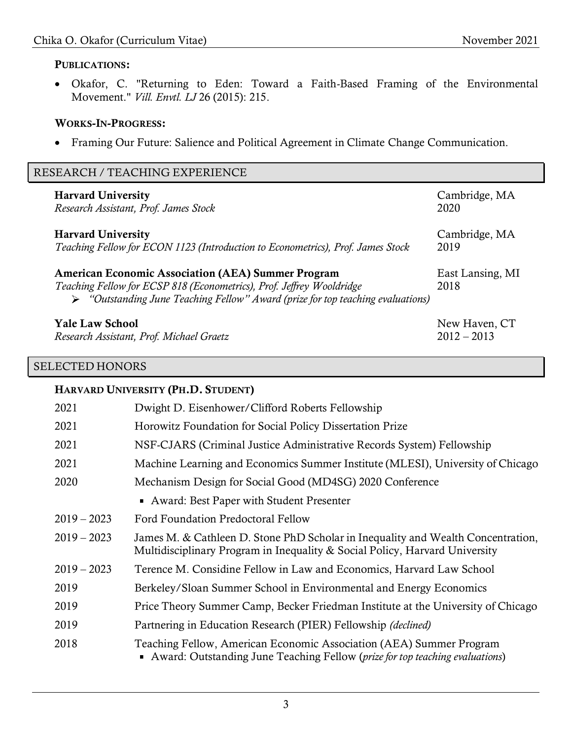### PUBLICATIONS:

• Okafor, C. "Returning to Eden: Toward a Faith-Based Framing of the Environmental Movement." *Vill. Envtl. LJ* 26 (2015): 215.

#### WORKS-IN-PROGRESS:

• Framing Our Future: Salience and Political Agreement in Climate Change Communication.

| RESEARCH / TEACHING EXPERIENCE |                                                                                                                                                                                                                                      |                                |
|--------------------------------|--------------------------------------------------------------------------------------------------------------------------------------------------------------------------------------------------------------------------------------|--------------------------------|
|                                | <b>Harvard University</b><br>Research Assistant, Prof. James Stock                                                                                                                                                                   | Cambridge, MA<br>2020          |
|                                | <b>Harvard University</b><br>Teaching Fellow for ECON 1123 (Introduction to Econometrics), Prof. James Stock                                                                                                                         | Cambridge, MA<br>2019          |
|                                | <b>American Economic Association (AEA) Summer Program</b><br>Teaching Fellow for ECSP 818 (Econometrics), Prof. Jeffrey Wooldridge<br>$\triangleright$ "Outstanding June Teaching Fellow" Award (prize for top teaching evaluations) | East Lansing, MI<br>2018       |
|                                | <b>Yale Law School</b><br>Research Assistant, Prof. Michael Graetz                                                                                                                                                                   | New Haven, CT<br>$2012 - 2013$ |

### SELECTED HONORS

#### HARVARD UNIVERSITY (PH.D. STUDENT)

| 2021          | Dwight D. Eisenhower/Clifford Roberts Fellowship                                                                                                                |
|---------------|-----------------------------------------------------------------------------------------------------------------------------------------------------------------|
| 2021          | Horowitz Foundation for Social Policy Dissertation Prize                                                                                                        |
| 2021          | NSF-CJARS (Criminal Justice Administrative Records System) Fellowship                                                                                           |
| 2021          | Machine Learning and Economics Summer Institute (MLESI), University of Chicago                                                                                  |
| 2020          | Mechanism Design for Social Good (MD4SG) 2020 Conference                                                                                                        |
|               | • Award: Best Paper with Student Presenter                                                                                                                      |
| $2019 - 2023$ | Ford Foundation Predoctoral Fellow                                                                                                                              |
| $2019 - 2023$ | James M. & Cathleen D. Stone PhD Scholar in Inequality and Wealth Concentration,<br>Multidisciplinary Program in Inequality & Social Policy, Harvard University |
| $2019 - 2023$ | Terence M. Considine Fellow in Law and Economics, Harvard Law School                                                                                            |
| 2019          | Berkeley/Sloan Summer School in Environmental and Energy Economics                                                                                              |
| 2019          | Price Theory Summer Camp, Becker Friedman Institute at the University of Chicago                                                                                |
| 2019          | Partnering in Education Research (PIER) Fellowship <i>(declined)</i>                                                                                            |
| 2018          | Teaching Fellow, American Economic Association (AEA) Summer Program<br>Award: Outstanding June Teaching Fellow ( <i>prize for top teaching evaluations</i> )    |
|               |                                                                                                                                                                 |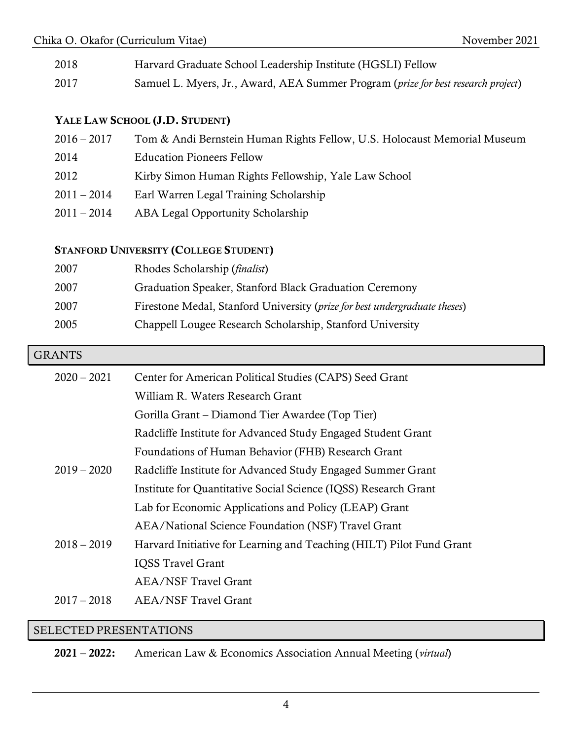| 2018 | Harvard Graduate School Leadership Institute (HGSLI) Fellow                       |
|------|-----------------------------------------------------------------------------------|
| 2017 | Samuel L. Myers, Jr., Award, AEA Summer Program (prize for best research project) |

## YALE LAW SCHOOL (J.D. STUDENT)

| $2016 - 2017$ | Tom & Andi Bernstein Human Rights Fellow, U.S. Holocaust Memorial Museum |
|---------------|--------------------------------------------------------------------------|
| 2014          | <b>Education Pioneers Fellow</b>                                         |
| 2012          | Kirby Simon Human Rights Fellowship, Yale Law School                     |
| $2011 - 2014$ | Earl Warren Legal Training Scholarship                                   |
| $2011 - 2014$ | ABA Legal Opportunity Scholarship                                        |

# STANFORD UNIVERSITY (COLLEGE STUDENT)

| 2007 | Rhodes Scholarship ( <i>finalist</i> )                                     |
|------|----------------------------------------------------------------------------|
| 2007 | Graduation Speaker, Stanford Black Graduation Ceremony                     |
| 2007 | Firestone Medal, Stanford University (prize for best undergraduate theses) |
| 2005 | Chappell Lougee Research Scholarship, Stanford University                  |

### **GRANTS**

| $2020 - 2021$ | Center for American Political Studies (CAPS) Seed Grant              |
|---------------|----------------------------------------------------------------------|
|               | William R. Waters Research Grant                                     |
|               | Gorilla Grant – Diamond Tier Awardee (Top Tier)                      |
|               | Radcliffe Institute for Advanced Study Engaged Student Grant         |
|               | Foundations of Human Behavior (FHB) Research Grant                   |
| $2019 - 2020$ | Radcliffe Institute for Advanced Study Engaged Summer Grant          |
|               | Institute for Quantitative Social Science (IQSS) Research Grant      |
|               | Lab for Economic Applications and Policy (LEAP) Grant                |
|               | AEA/National Science Foundation (NSF) Travel Grant                   |
| $2018 - 2019$ | Harvard Initiative for Learning and Teaching (HILT) Pilot Fund Grant |
|               | <b>IQSS Travel Grant</b>                                             |
|               | <b>AEA/NSF Travel Grant</b>                                          |
| $2017 - 2018$ | AEA/NSF Travel Grant                                                 |
|               |                                                                      |

#### SELECTED PRESENTATIONS

2021 – 2022: American Law & Economics Association Annual Meeting (*virtual*)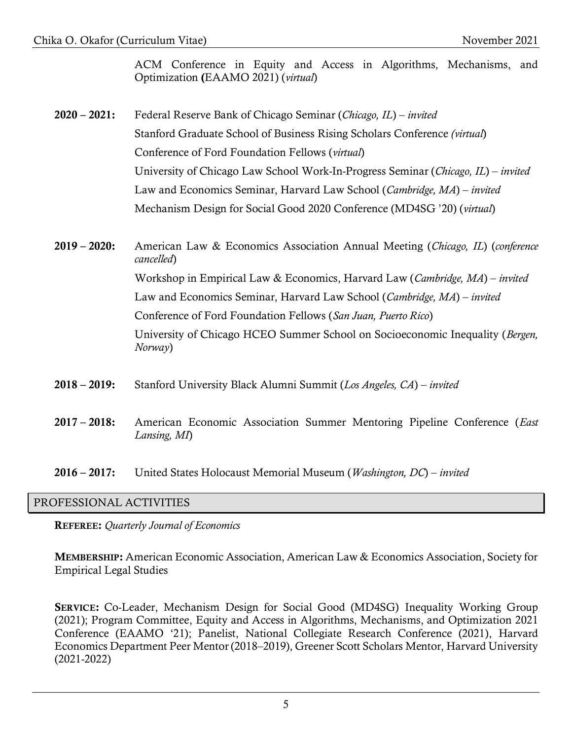ACM Conference in Equity and Access in Algorithms, Mechanisms, and Optimization (EAAMO 2021) (*virtual*)

- 2020 2021: Federal Reserve Bank of Chicago Seminar (*Chicago, IL*) *invited* Stanford Graduate School of Business Rising Scholars Conference *(virtual*) Conference of Ford Foundation Fellows (*virtual*) University of Chicago Law School Work-In-Progress Seminar (*Chicago, IL*) – *invited* Law and Economics Seminar, Harvard Law School (*Cambridge, MA*) – *invited* Mechanism Design for Social Good 2020 Conference (MD4SG '20) (*virtual*)
- 2019 2020: American Law & Economics Association Annual Meeting (*Chicago, IL*) (*conference cancelled*) Workshop in Empirical Law & Economics, Harvard Law (*Cambridge, MA*) – *invited* Law and Economics Seminar, Harvard Law School (*Cambridge, MA*) – *invited* Conference of Ford Foundation Fellows (*San Juan, Puerto Rico*) University of Chicago HCEO Summer School on Socioeconomic Inequality (*Bergen, Norway*)
- 2018 2019: Stanford University Black Alumni Summit (*Los Angeles, CA*) *invited*
- 2017 2018: American Economic Association Summer Mentoring Pipeline Conference (*East Lansing, MI*)
- 2016 2017: United States Holocaust Memorial Museum (*Washington, DC*) *invited*

#### PROFESSIONAL ACTIVITIES

REFEREE: *Quarterly Journal of Economics*

MEMBERSHIP: American Economic Association, American Law & Economics Association, Society for Empirical Legal Studies

SERVICE: Co-Leader, Mechanism Design for Social Good (MD4SG) Inequality Working Group (2021); Program Committee, Equity and Access in Algorithms, Mechanisms, and Optimization 2021 Conference (EAAMO '21); Panelist, National Collegiate Research Conference (2021), Harvard Economics Department Peer Mentor (2018–2019), Greener Scott Scholars Mentor, Harvard University (2021-2022)